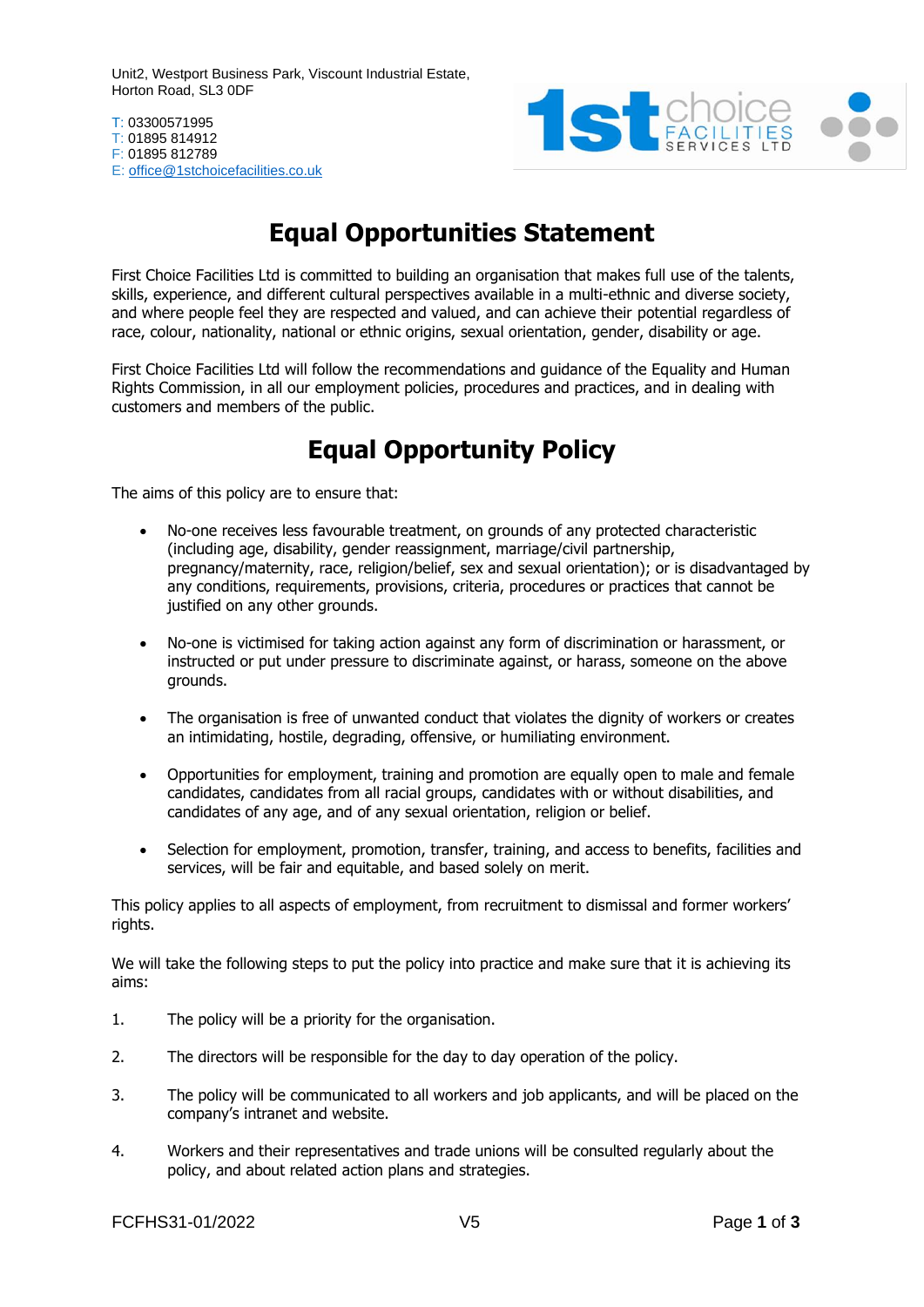Unit2, Westport Business Park, Viscount Industrial Estate, Horton Road, SL3 0DF

T: 03300571995 T: 01895 814912 F: 01895 812789 E: [office@1stchoicefacilities.co.uk](mailto:office@1stchoicefacilities.co.uk)



## **Equal Opportunities Statement**

First Choice Facilities Ltd is committed to building an organisation that makes full use of the talents, skills, experience, and different cultural perspectives available in a multi-ethnic and diverse society, and where people feel they are respected and valued, and can achieve their potential regardless of race, colour, nationality, national or ethnic origins, sexual orientation, gender, disability or age.

First Choice Facilities Ltd will follow the recommendations and guidance of the Equality and Human Rights Commission, in all our employment policies, procedures and practices, and in dealing with customers and members of the public.

## **Equal Opportunity Policy**

The aims of this policy are to ensure that:

- No-one receives less favourable treatment, on grounds of any protected characteristic (including age, disability, gender reassignment, marriage/civil partnership, pregnancy/maternity, race, religion/belief, sex and sexual orientation); or is disadvantaged by any conditions, requirements, provisions, criteria, procedures or practices that cannot be justified on any other grounds.
- No-one is victimised for taking action against any form of discrimination or harassment, or instructed or put under pressure to discriminate against, or harass, someone on the above grounds.
- The organisation is free of unwanted conduct that violates the dignity of workers or creates an intimidating, hostile, degrading, offensive, or humiliating environment.
- Opportunities for employment, training and promotion are equally open to male and female candidates, candidates from all racial groups, candidates with or without disabilities, and candidates of any age, and of any sexual orientation, religion or belief.
- Selection for employment, promotion, transfer, training, and access to benefits, facilities and services, will be fair and equitable, and based solely on merit.

This policy applies to all aspects of employment, from recruitment to dismissal and former workers' rights.

We will take the following steps to put the policy into practice and make sure that it is achieving its aims:

- 1. The policy will be a priority for the organisation.
- 2. The directors will be responsible for the day to day operation of the policy.
- 3. The policy will be communicated to all workers and job applicants, and will be placed on the company's intranet and website.
- 4. Workers and their representatives and trade unions will be consulted regularly about the policy, and about related action plans and strategies.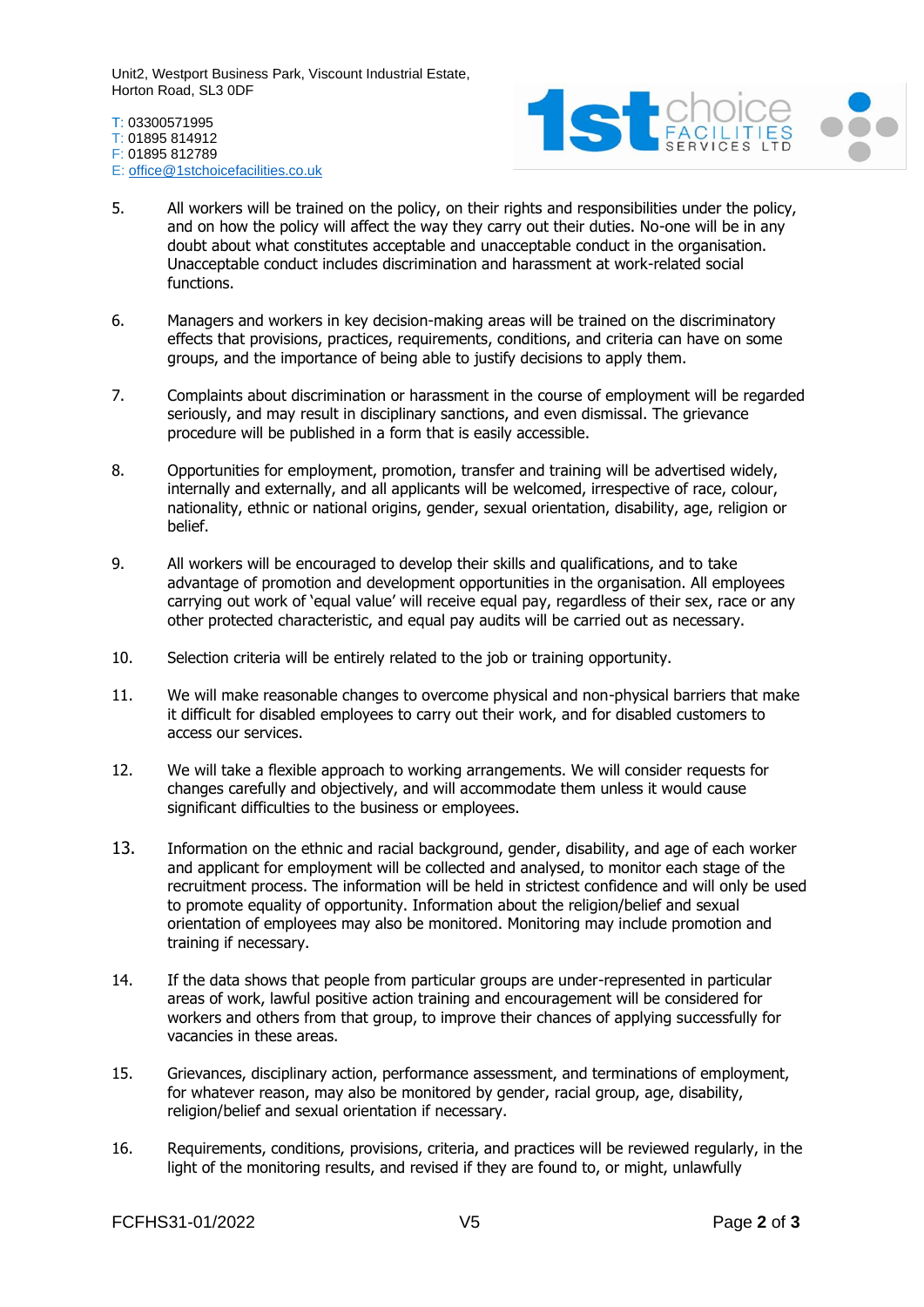Unit2, Westport Business Park, Viscount Industrial Estate, Horton Road, SL3 0DF

T: 03300571995 T: 01895 814912 F: 01895 812789 E: [office@1stchoicefacilities.co.uk](mailto:office@1stchoicefacilities.co.uk)



- 5. All workers will be trained on the policy, on their rights and responsibilities under the policy, and on how the policy will affect the way they carry out their duties. No-one will be in any doubt about what constitutes acceptable and unacceptable conduct in the organisation. Unacceptable conduct includes discrimination and harassment at work-related social functions.
- 6. Managers and workers in key decision-making areas will be trained on the discriminatory effects that provisions, practices, requirements, conditions, and criteria can have on some groups, and the importance of being able to justify decisions to apply them.
- 7. Complaints about discrimination or harassment in the course of employment will be regarded seriously, and may result in disciplinary sanctions, and even dismissal. The grievance procedure will be published in a form that is easily accessible.
- 8. Opportunities for employment, promotion, transfer and training will be advertised widely, internally and externally, and all applicants will be welcomed, irrespective of race, colour, nationality, ethnic or national origins, gender, sexual orientation, disability, age, religion or belief.
- 9. All workers will be encouraged to develop their skills and qualifications, and to take advantage of promotion and development opportunities in the organisation. All employees carrying out work of 'equal value' will receive equal pay, regardless of their sex, race or any other protected characteristic, and equal pay audits will be carried out as necessary.
- 10. Selection criteria will be entirely related to the job or training opportunity.
- 11. We will make reasonable changes to overcome physical and non-physical barriers that make it difficult for disabled employees to carry out their work, and for disabled customers to access our services.
- 12. We will take a flexible approach to working arrangements. We will consider requests for changes carefully and objectively, and will accommodate them unless it would cause significant difficulties to the business or employees.
- 13. Information on the ethnic and racial background, gender, disability, and age of each worker and applicant for employment will be collected and analysed, to monitor each stage of the recruitment process. The information will be held in strictest confidence and will only be used to promote equality of opportunity. Information about the religion/belief and sexual orientation of employees may also be monitored. Monitoring may include promotion and training if necessary.
- 14. If the data shows that people from particular groups are under-represented in particular areas of work, lawful positive action training and encouragement will be considered for workers and others from that group, to improve their chances of applying successfully for vacancies in these areas.
- 15. Grievances, disciplinary action, performance assessment, and terminations of employment, for whatever reason, may also be monitored by gender, racial group, age, disability, religion/belief and sexual orientation if necessary.
- 16. Requirements, conditions, provisions, criteria, and practices will be reviewed regularly, in the light of the monitoring results, and revised if they are found to, or might, unlawfully